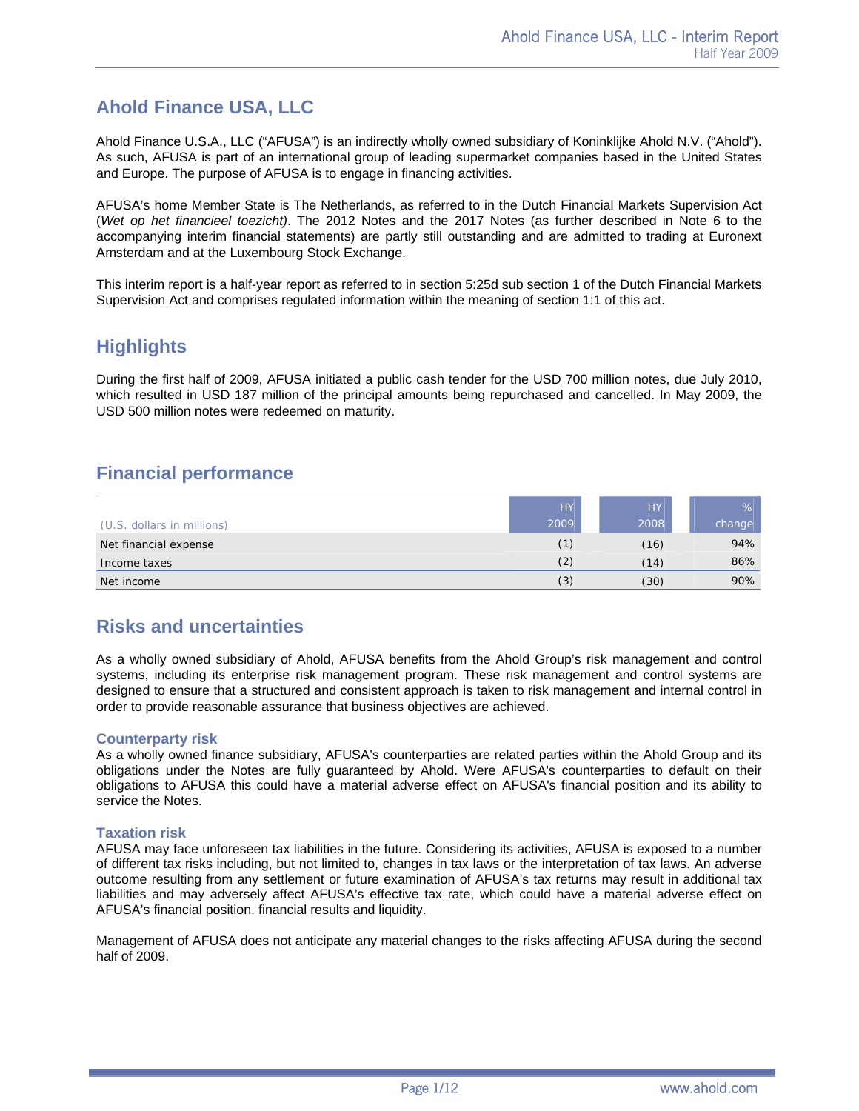# **Ahold Finance USA, LLC**

Ahold Finance U.S.A., LLC ("AFUSA") is an indirectly wholly owned subsidiary of Koninklijke Ahold N.V. ("Ahold"). As such, AFUSA is part of an international group of leading supermarket companies based in the United States and Europe. The purpose of AFUSA is to engage in financing activities.

AFUSA's home Member State is The Netherlands, as referred to in the Dutch Financial Markets Supervision Act (*Wet op het financieel toezicht)*. The 2012 Notes and the 2017 Notes (as further described in Note 6 to the accompanying interim financial statements) are partly still outstanding and are admitted to trading at Euronext Amsterdam and at the Luxembourg Stock Exchange.

This interim report is a half-year report as referred to in section 5:25d sub section 1 of the Dutch Financial Markets Supervision Act and comprises regulated information within the meaning of section 1:1 of this act.

# **Highlights**

During the first half of 2009, AFUSA initiated a public cash tender for the USD 700 million notes, due July 2010, which resulted in USD 187 million of the principal amounts being repurchased and cancelled. In May 2009, the USD 500 million notes were redeemed on maturity.

## **Financial performance**

|                            | <b>HY</b> | <b>HY</b> | $\%$   |
|----------------------------|-----------|-----------|--------|
| (U.S. dollars in millions) | 2009      | 2008      | change |
| Net financial expense      | (1)       | (16)      | 94%    |
| Income taxes               | (2)       | (14)      | 86%    |
| Net income                 | (3)       | (30)      | 90%    |

## **Risks and uncertainties**

As a wholly owned subsidiary of Ahold, AFUSA benefits from the Ahold Group's risk management and control systems, including its enterprise risk management program. These risk management and control systems are designed to ensure that a structured and consistent approach is taken to risk management and internal control in order to provide reasonable assurance that business objectives are achieved.

## **Counterparty risk**

As a wholly owned finance subsidiary, AFUSA's counterparties are related parties within the Ahold Group and its obligations under the Notes are fully guaranteed by Ahold. Were AFUSA's counterparties to default on their obligations to AFUSA this could have a material adverse effect on AFUSA's financial position and its ability to service the Notes.

## **Taxation risk**

AFUSA may face unforeseen tax liabilities in the future. Considering its activities, AFUSA is exposed to a number of different tax risks including, but not limited to, changes in tax laws or the interpretation of tax laws. An adverse outcome resulting from any settlement or future examination of AFUSA's tax returns may result in additional tax liabilities and may adversely affect AFUSA's effective tax rate, which could have a material adverse effect on AFUSA's financial position, financial results and liquidity.

Management of AFUSA does not anticipate any material changes to the risks affecting AFUSA during the second half of 2009.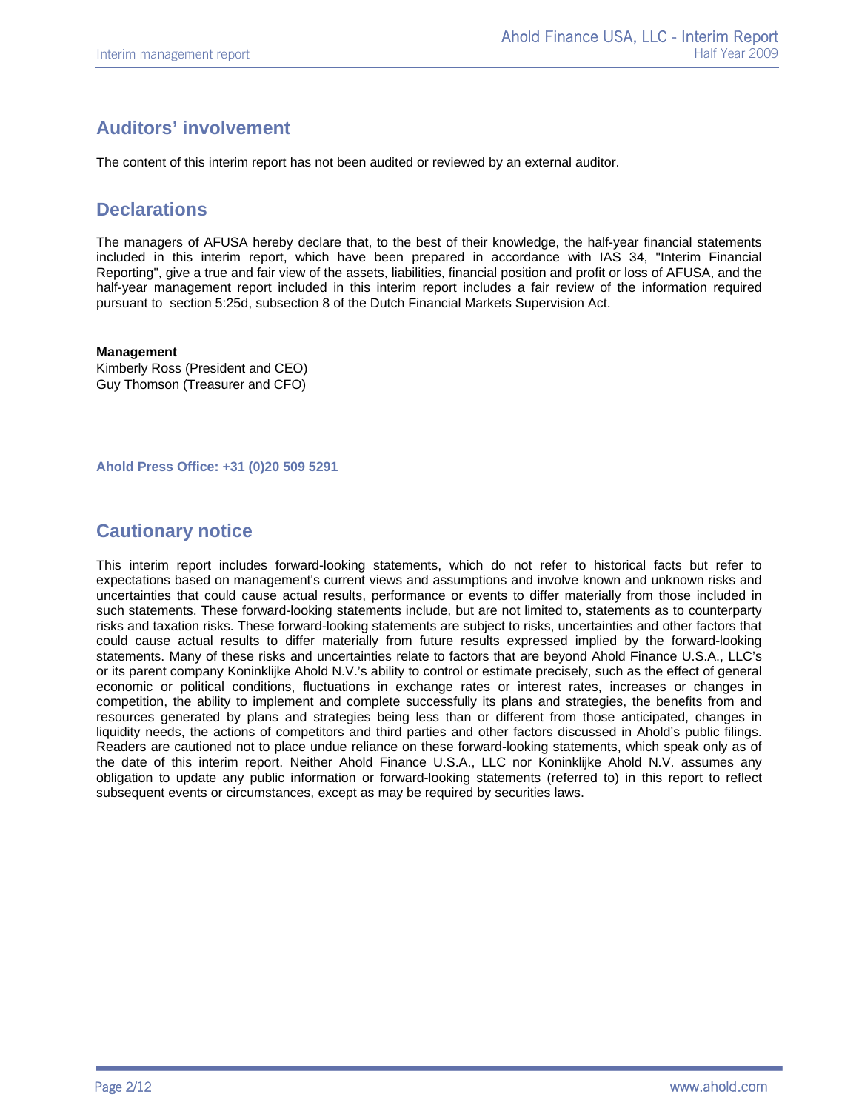# **Auditors' involvement**

The content of this interim report has not been audited or reviewed by an external auditor.

## **Declarations**

The managers of AFUSA hereby declare that, to the best of their knowledge, the half-year financial statements included in this interim report, which have been prepared in accordance with IAS 34, "Interim Financial Reporting", give a true and fair view of the assets, liabilities, financial position and profit or loss of AFUSA, and the half-year management report included in this interim report includes a fair review of the information required pursuant to section 5:25d, subsection 8 of the Dutch Financial Markets Supervision Act.

#### **Management**

Kimberly Ross (President and CEO) Guy Thomson (Treasurer and CFO)

**Ahold Press Office: +31 (0)20 509 5291**

# **Cautionary notice**

This interim report includes forward-looking statements, which do not refer to historical facts but refer to expectations based on management's current views and assumptions and involve known and unknown risks and uncertainties that could cause actual results, performance or events to differ materially from those included in such statements. These forward-looking statements include, but are not limited to, statements as to counterparty risks and taxation risks. These forward-looking statements are subject to risks, uncertainties and other factors that could cause actual results to differ materially from future results expressed implied by the forward-looking statements. Many of these risks and uncertainties relate to factors that are beyond Ahold Finance U.S.A., LLC's or its parent company Koninklijke Ahold N.V.'s ability to control or estimate precisely, such as the effect of general economic or political conditions, fluctuations in exchange rates or interest rates, increases or changes in competition, the ability to implement and complete successfully its plans and strategies, the benefits from and resources generated by plans and strategies being less than or different from those anticipated, changes in liquidity needs, the actions of competitors and third parties and other factors discussed in Ahold's public filings. Readers are cautioned not to place undue reliance on these forward-looking statements, which speak only as of the date of this interim report. Neither Ahold Finance U.S.A., LLC nor Koninklijke Ahold N.V. assumes any obligation to update any public information or forward-looking statements (referred to) in this report to reflect subsequent events or circumstances, except as may be required by securities laws.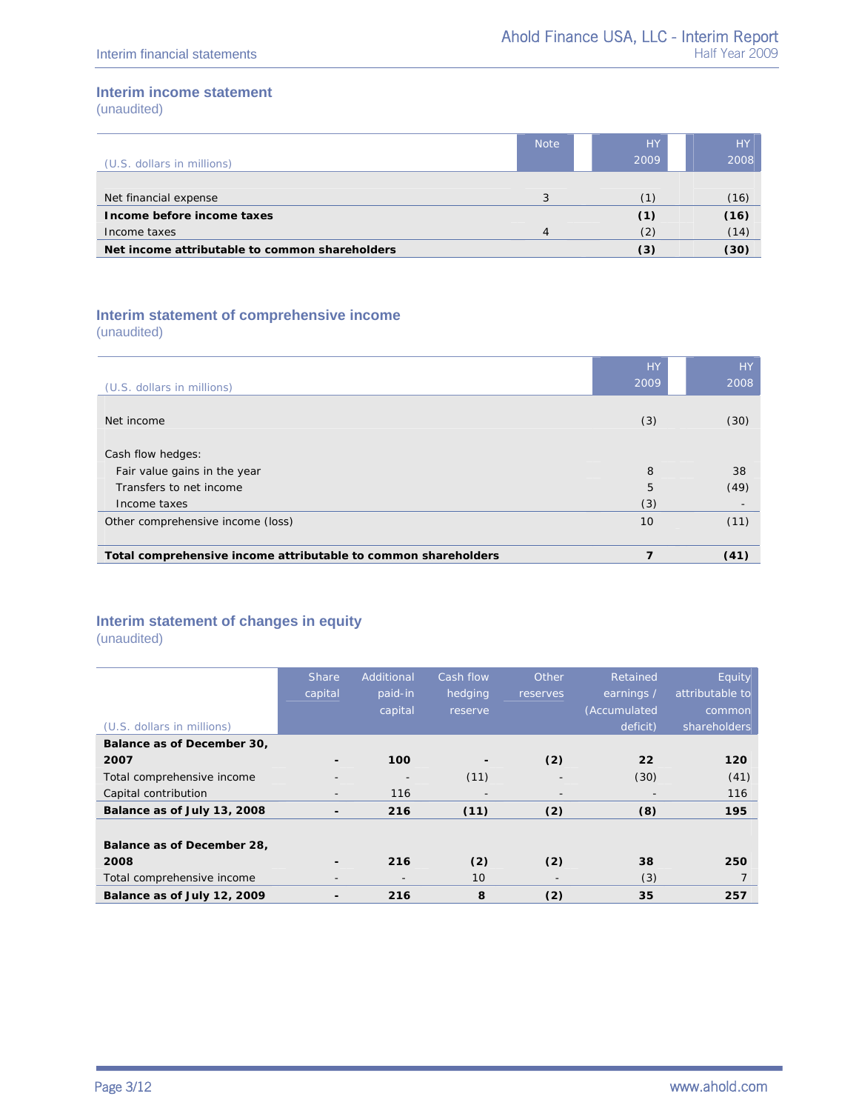## **Interim income statement**

(unaudited)

|                                                | <b>Note</b> | <b>HY</b> | <b>HY</b> |
|------------------------------------------------|-------------|-----------|-----------|
| (U.S. dollars in millions)                     |             | 2009      | 2008      |
|                                                |             |           |           |
| Net financial expense                          | 3           |           | (16)      |
| Income before income taxes                     |             | (1)       | (16)      |
| Income taxes                                   | 4           | (2)       | (14)      |
| Net income attributable to common shareholders |             | (3)       | (30)      |

## **Interim statement of comprehensive income**

(unaudited)

| (U.S. dollars in millions)                                     | <b>HY</b><br>2009 | <b>HY</b><br>2008        |
|----------------------------------------------------------------|-------------------|--------------------------|
|                                                                |                   |                          |
| Net income                                                     | (3)               | (30)                     |
| Cash flow hedges:                                              |                   |                          |
| Fair value gains in the year                                   | 8                 | 38                       |
| Transfers to net income                                        | 5                 | (49)                     |
| Income taxes                                                   | (3)               | $\overline{\phantom{a}}$ |
| Other comprehensive income (loss)                              | 10                | (11)                     |
|                                                                |                   |                          |
| Total comprehensive income attributable to common shareholders | 7                 | (41)                     |

## **Interim statement of changes in equity**

(unaudited)

|                             | <b>Share</b>             | Additional               | Cash flow | Other                    | Retained     | Equity          |
|-----------------------------|--------------------------|--------------------------|-----------|--------------------------|--------------|-----------------|
|                             | capital                  | paid-in                  | hedging   | reserves                 | earnings /   | attributable to |
|                             |                          | capital                  | reserve   |                          | (Accumulated | common          |
| (U.S. dollars in millions)  |                          |                          |           |                          | deficit)     | shareholders    |
| Balance as of December 30,  |                          |                          |           |                          |              |                 |
| 2007                        |                          | 100                      |           | (2)                      | 22           | 120             |
| Total comprehensive income  |                          |                          | (11)      |                          | (30)         | (41)            |
| Capital contribution        |                          | 116                      |           | $\overline{\phantom{a}}$ |              | 116             |
| Balance as of July 13, 2008 | $\overline{\phantom{0}}$ | 216                      | (11)      | (2)                      | (8)          | 195             |
|                             |                          |                          |           |                          |              |                 |
| Balance as of December 28,  |                          |                          |           |                          |              |                 |
| 2008                        |                          | 216                      | (2)       | (2)                      | 38           | 250             |
| Total comprehensive income  |                          | $\overline{\phantom{a}}$ | 10        |                          | (3)          |                 |
| Balance as of July 12, 2009 |                          | 216                      | 8         | (2)                      | 35           | 257             |
|                             |                          |                          |           |                          |              |                 |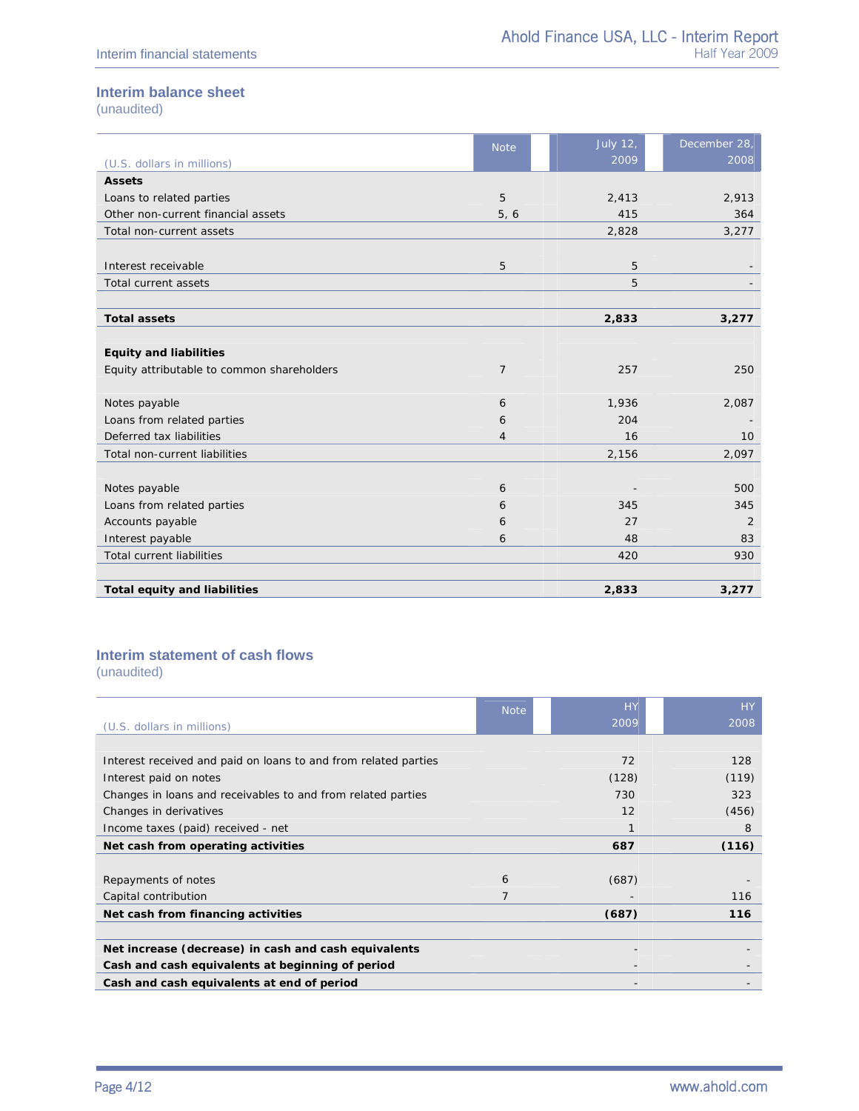## **Interim balance sheet**

(unaudited)

|                                            | <b>Note</b>    | <b>July 12,</b> | December 28, |
|--------------------------------------------|----------------|-----------------|--------------|
| (U.S. dollars in millions)                 |                | 2009            | 2008         |
| <b>Assets</b>                              |                |                 |              |
| Loans to related parties                   | 5              | 2,413           | 2,913        |
| Other non-current financial assets         | 5, 6           | 415             | 364          |
| Total non-current assets                   |                | 2,828           | 3,277        |
|                                            |                |                 |              |
| Interest receivable                        | 5              | 5               |              |
| Total current assets                       |                | 5               |              |
|                                            |                |                 |              |
| <b>Total assets</b>                        |                | 2,833           | 3,277        |
|                                            |                |                 |              |
| <b>Equity and liabilities</b>              |                |                 |              |
| Equity attributable to common shareholders | $\overline{7}$ | 257             | 250          |
|                                            |                |                 |              |
| Notes payable                              | 6              | 1,936           | 2,087        |
| Loans from related parties                 | 6              | 204             |              |
| Deferred tax liabilities                   | $\overline{4}$ | 16              | 10           |
| Total non-current liabilities              |                | 2,156           | 2,097        |
|                                            |                |                 |              |
| Notes payable                              | 6              |                 | 500          |
| Loans from related parties                 | 6              | 345             | 345          |
| Accounts payable                           | 6              | 27              | 2            |
| Interest payable                           | 6              | 48              | 83           |
| <b>Total current liabilities</b>           |                | 420             | 930          |
|                                            |                |                 |              |
| <b>Total equity and liabilities</b>        |                | 2,833           | 3,277        |

## **Interim statement of cash flows**

(unaudited)

|                                                                 | <b>Note</b> | <b>HY</b>                | <b>HY</b> |
|-----------------------------------------------------------------|-------------|--------------------------|-----------|
| (U.S. dollars in millions)                                      |             | 2009                     | 2008      |
|                                                                 |             |                          |           |
| Interest received and paid on loans to and from related parties |             | 72                       | 128       |
| Interest paid on notes                                          |             | (128)                    | (119)     |
| Changes in loans and receivables to and from related parties    |             | 730                      | 323       |
| Changes in derivatives                                          |             | 12                       | (456)     |
| Income taxes (paid) received - net                              |             |                          | 8         |
| Net cash from operating activities                              |             | 687                      | (116)     |
|                                                                 |             |                          |           |
| Repayments of notes                                             | 6           | (687)                    |           |
| Capital contribution                                            | 7           |                          | 116       |
| Net cash from financing activities                              |             | (687)                    | 116       |
|                                                                 |             |                          |           |
| Net increase (decrease) in cash and cash equivalents            |             |                          |           |
| Cash and cash equivalents at beginning of period                |             | $\overline{\phantom{a}}$ |           |
| Cash and cash equivalents at end of period                      |             |                          |           |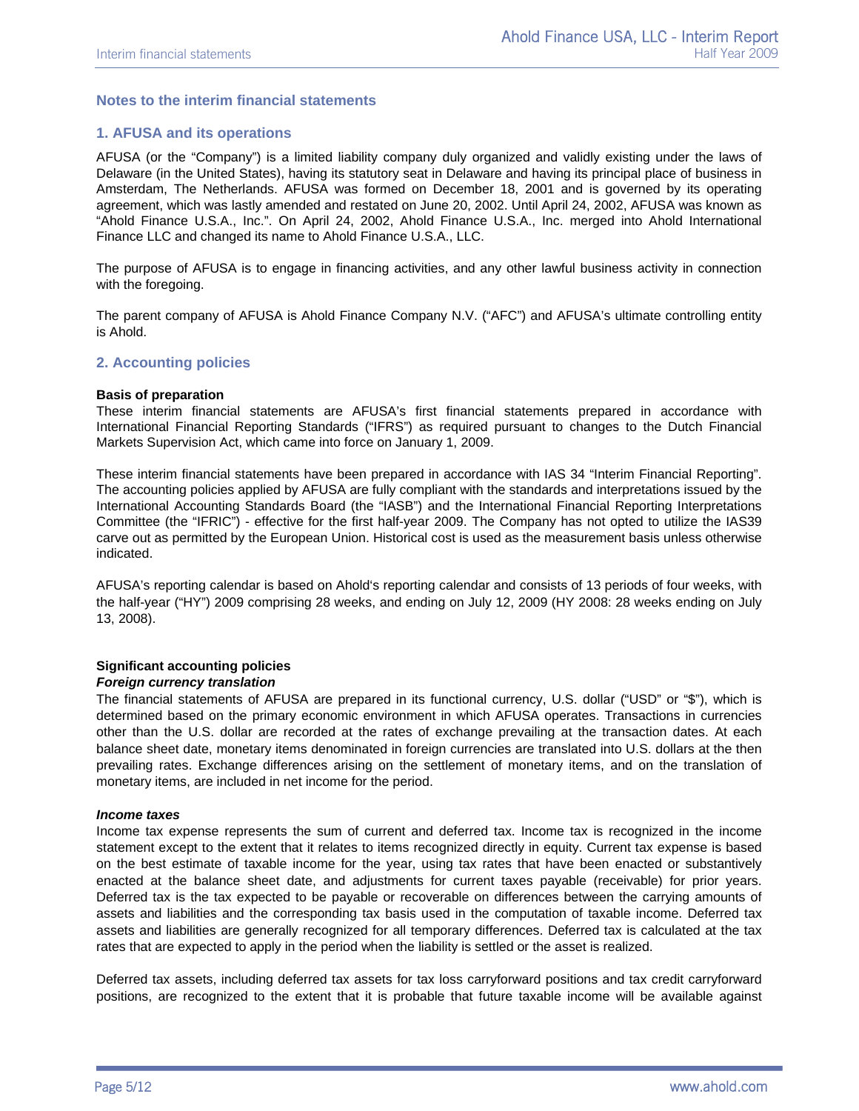## **Notes to the interim financial statements**

## **1. AFUSA and its operations**

AFUSA (or the "Company") is a limited liability company duly organized and validly existing under the laws of Delaware (in the United States), having its statutory seat in Delaware and having its principal place of business in Amsterdam, The Netherlands. AFUSA was formed on December 18, 2001 and is governed by its operating agreement, which was lastly amended and restated on June 20, 2002. Until April 24, 2002, AFUSA was known as "Ahold Finance U.S.A., Inc.". On April 24, 2002, Ahold Finance U.S.A., Inc. merged into Ahold International Finance LLC and changed its name to Ahold Finance U.S.A., LLC.

The purpose of AFUSA is to engage in financing activities, and any other lawful business activity in connection with the foregoing.

The parent company of AFUSA is Ahold Finance Company N.V. ("AFC") and AFUSA's ultimate controlling entity is Ahold.

## **2. Accounting policies**

#### **Basis of preparation**

These interim financial statements are AFUSA's first financial statements prepared in accordance with International Financial Reporting Standards ("IFRS") as required pursuant to changes to the Dutch Financial Markets Supervision Act, which came into force on January 1, 2009.

These interim financial statements have been prepared in accordance with IAS 34 "Interim Financial Reporting". The accounting policies applied by AFUSA are fully compliant with the standards and interpretations issued by the International Accounting Standards Board (the "IASB") and the International Financial Reporting Interpretations Committee (the "IFRIC") - effective for the first half-year 2009. The Company has not opted to utilize the IAS39 carve out as permitted by the European Union. Historical cost is used as the measurement basis unless otherwise indicated.

AFUSA's reporting calendar is based on Ahold's reporting calendar and consists of 13 periods of four weeks, with the half-year ("HY") 2009 comprising 28 weeks, and ending on July 12, 2009 (HY 2008: 28 weeks ending on July 13, 2008).

#### **Significant accounting policies**  *Foreign currency translation*

The financial statements of AFUSA are prepared in its functional currency, U.S. dollar ("USD" or "\$"), which is determined based on the primary economic environment in which AFUSA operates. Transactions in currencies other than the U.S. dollar are recorded at the rates of exchange prevailing at the transaction dates. At each balance sheet date, monetary items denominated in foreign currencies are translated into U.S. dollars at the then prevailing rates. Exchange differences arising on the settlement of monetary items, and on the translation of monetary items, are included in net income for the period.

#### *Income taxes*

Income tax expense represents the sum of current and deferred tax. Income tax is recognized in the income statement except to the extent that it relates to items recognized directly in equity. Current tax expense is based on the best estimate of taxable income for the year, using tax rates that have been enacted or substantively enacted at the balance sheet date, and adjustments for current taxes payable (receivable) for prior years. Deferred tax is the tax expected to be payable or recoverable on differences between the carrying amounts of assets and liabilities and the corresponding tax basis used in the computation of taxable income. Deferred tax assets and liabilities are generally recognized for all temporary differences. Deferred tax is calculated at the tax rates that are expected to apply in the period when the liability is settled or the asset is realized.

Deferred tax assets, including deferred tax assets for tax loss carryforward positions and tax credit carryforward positions, are recognized to the extent that it is probable that future taxable income will be available against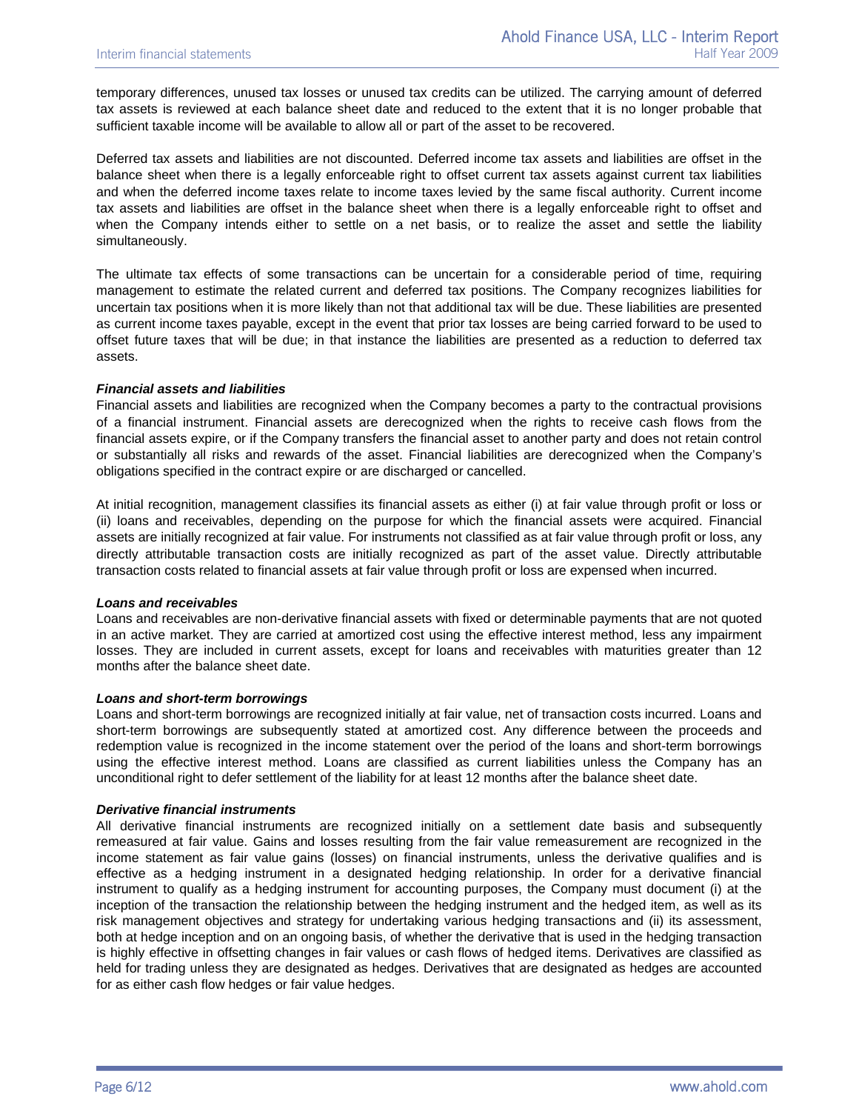temporary differences, unused tax losses or unused tax credits can be utilized. The carrying amount of deferred tax assets is reviewed at each balance sheet date and reduced to the extent that it is no longer probable that sufficient taxable income will be available to allow all or part of the asset to be recovered.

Deferred tax assets and liabilities are not discounted. Deferred income tax assets and liabilities are offset in the balance sheet when there is a legally enforceable right to offset current tax assets against current tax liabilities and when the deferred income taxes relate to income taxes levied by the same fiscal authority. Current income tax assets and liabilities are offset in the balance sheet when there is a legally enforceable right to offset and when the Company intends either to settle on a net basis, or to realize the asset and settle the liability simultaneously.

The ultimate tax effects of some transactions can be uncertain for a considerable period of time, requiring management to estimate the related current and deferred tax positions. The Company recognizes liabilities for uncertain tax positions when it is more likely than not that additional tax will be due. These liabilities are presented as current income taxes payable, except in the event that prior tax losses are being carried forward to be used to offset future taxes that will be due; in that instance the liabilities are presented as a reduction to deferred tax assets.

#### *Financial assets and liabilities*

Financial assets and liabilities are recognized when the Company becomes a party to the contractual provisions of a financial instrument. Financial assets are derecognized when the rights to receive cash flows from the financial assets expire, or if the Company transfers the financial asset to another party and does not retain control or substantially all risks and rewards of the asset. Financial liabilities are derecognized when the Company's obligations specified in the contract expire or are discharged or cancelled.

At initial recognition, management classifies its financial assets as either (i) at fair value through profit or loss or (ii) loans and receivables, depending on the purpose for which the financial assets were acquired. Financial assets are initially recognized at fair value. For instruments not classified as at fair value through profit or loss, any directly attributable transaction costs are initially recognized as part of the asset value. Directly attributable transaction costs related to financial assets at fair value through profit or loss are expensed when incurred.

#### *Loans and receivables*

Loans and receivables are non-derivative financial assets with fixed or determinable payments that are not quoted in an active market. They are carried at amortized cost using the effective interest method, less any impairment losses. They are included in current assets, except for loans and receivables with maturities greater than 12 months after the balance sheet date.

#### *Loans and short-term borrowings*

Loans and short-term borrowings are recognized initially at fair value, net of transaction costs incurred. Loans and short-term borrowings are subsequently stated at amortized cost. Any difference between the proceeds and redemption value is recognized in the income statement over the period of the loans and short-term borrowings using the effective interest method. Loans are classified as current liabilities unless the Company has an unconditional right to defer settlement of the liability for at least 12 months after the balance sheet date.

## *Derivative financial instruments*

All derivative financial instruments are recognized initially on a settlement date basis and subsequently remeasured at fair value. Gains and losses resulting from the fair value remeasurement are recognized in the income statement as fair value gains (losses) on financial instruments, unless the derivative qualifies and is effective as a hedging instrument in a designated hedging relationship. In order for a derivative financial instrument to qualify as a hedging instrument for accounting purposes, the Company must document (i) at the inception of the transaction the relationship between the hedging instrument and the hedged item, as well as its risk management objectives and strategy for undertaking various hedging transactions and (ii) its assessment, both at hedge inception and on an ongoing basis, of whether the derivative that is used in the hedging transaction is highly effective in offsetting changes in fair values or cash flows of hedged items. Derivatives are classified as held for trading unless they are designated as hedges. Derivatives that are designated as hedges are accounted for as either cash flow hedges or fair value hedges.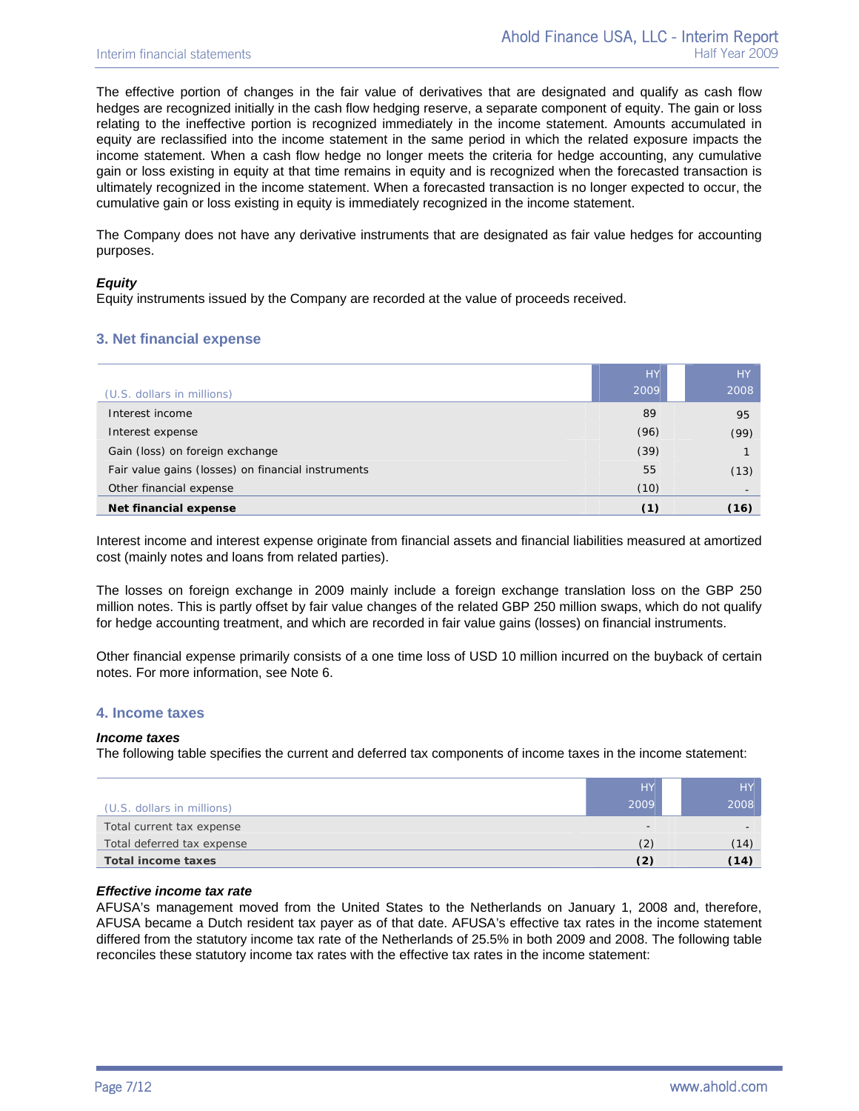The effective portion of changes in the fair value of derivatives that are designated and qualify as cash flow hedges are recognized initially in the cash flow hedging reserve, a separate component of equity. The gain or loss relating to the ineffective portion is recognized immediately in the income statement. Amounts accumulated in equity are reclassified into the income statement in the same period in which the related exposure impacts the income statement. When a cash flow hedge no longer meets the criteria for hedge accounting, any cumulative gain or loss existing in equity at that time remains in equity and is recognized when the forecasted transaction is ultimately recognized in the income statement. When a forecasted transaction is no longer expected to occur, the cumulative gain or loss existing in equity is immediately recognized in the income statement.

The Company does not have any derivative instruments that are designated as fair value hedges for accounting purposes.

#### *Equity*

Equity instruments issued by the Company are recorded at the value of proceeds received.

## **3. Net financial expense**

|                                                    | <b>HY</b> | <b>HY</b> |
|----------------------------------------------------|-----------|-----------|
| (U.S. dollars in millions)                         | 2009      | 2008      |
| Interest income                                    | 89        | 95        |
| Interest expense                                   | (96)      | (99)      |
| Gain (loss) on foreign exchange                    | (39)      |           |
| Fair value gains (losses) on financial instruments | 55        | (13)      |
| Other financial expense                            | (10)      |           |
| Net financial expense                              | (1)       | (16)      |

Interest income and interest expense originate from financial assets and financial liabilities measured at amortized cost (mainly notes and loans from related parties).

The losses on foreign exchange in 2009 mainly include a foreign exchange translation loss on the GBP 250 million notes. This is partly offset by fair value changes of the related GBP 250 million swaps, which do not qualify for hedge accounting treatment, and which are recorded in fair value gains (losses) on financial instruments.

Other financial expense primarily consists of a one time loss of USD 10 million incurred on the buyback of certain notes. For more information, see Note 6.

#### **4. Income taxes**

#### *Income taxes*

The following table specifies the current and deferred tax components of income taxes in the income statement:

|                            | <b>HY</b> | HY.  |
|----------------------------|-----------|------|
| (U.S. dollars in millions) | 2009      | 2008 |
| Total current tax expense  | -         |      |
| Total deferred tax expense | (2        | (14) |
| Total income taxes         |           | (14) |

#### *Effective income tax rate*

AFUSA's management moved from the United States to the Netherlands on January 1, 2008 and, therefore, AFUSA became a Dutch resident tax payer as of that date. AFUSA's effective tax rates in the income statement differed from the statutory income tax rate of the Netherlands of 25.5% in both 2009 and 2008. The following table reconciles these statutory income tax rates with the effective tax rates in the income statement: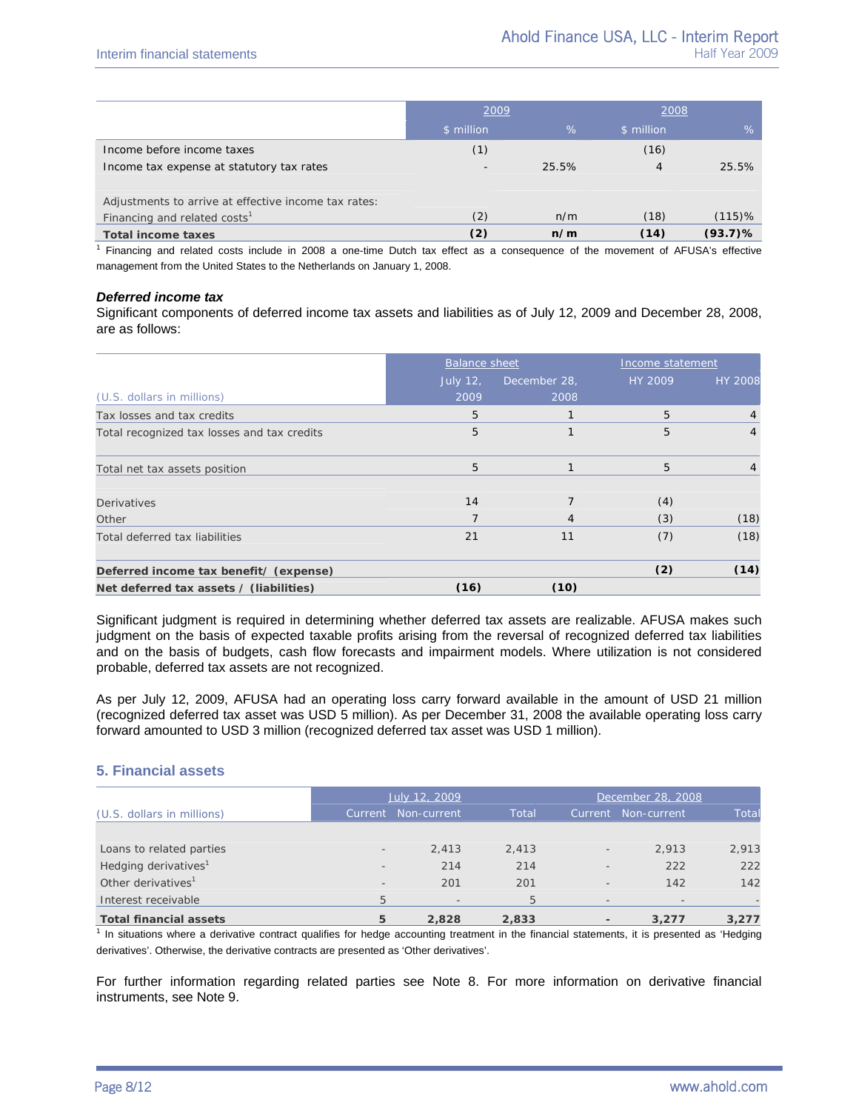|                                                      | 2009       |       | 2008       |            |
|------------------------------------------------------|------------|-------|------------|------------|
|                                                      | \$ million | $\%$  | \$ million | $\%$       |
| Income before income taxes                           | (1)        |       | (16)       |            |
| Income tax expense at statutory tax rates            | $\sim$     | 25.5% | 4          | 25.5%      |
| Adjustments to arrive at effective income tax rates: |            |       |            |            |
| Financing and related costs <sup>1</sup>             | (2)        | n/m   | (18)       | $(115)$ %  |
| <b>Total income taxes</b>                            | (2)        | n/m   | (14)       | $(93.7)$ % |

<sup>1</sup> Financing and related costs include in 2008 a one-time Dutch tax effect as a consequence of the movement of AFUSA's effective management from the United States to the Netherlands on January 1, 2008.

#### *Deferred income tax*

Significant components of deferred income tax assets and liabilities as of July 12, 2009 and December 28, 2008, are as follows:

|                                             | <b>Balance sheet</b> |              | Income statement |                |
|---------------------------------------------|----------------------|--------------|------------------|----------------|
|                                             | <b>July 12,</b>      | December 28, | HY 2009          | <b>HY 2008</b> |
| (U.S. dollars in millions)                  | 2009                 | 2008         |                  |                |
| Tax losses and tax credits                  | 5                    |              | 5                | 4              |
| Total recognized tax losses and tax credits | 5                    |              | 5                | 4              |
| Total net tax assets position               | 5                    |              | 5                |                |
| <b>Derivatives</b>                          | 14                   |              | (4)              |                |
| Other                                       | 7                    | 4            | (3)              | (18)           |
| Total deferred tax liabilities              | 21                   | 11           | (7)              | (18)           |
| Deferred income tax benefit/ (expense)      |                      |              | (2)              | (14)           |
| Net deferred tax assets / (liabilities)     | (16)                 | (10)         |                  |                |

Significant judgment is required in determining whether deferred tax assets are realizable. AFUSA makes such judgment on the basis of expected taxable profits arising from the reversal of recognized deferred tax liabilities and on the basis of budgets, cash flow forecasts and impairment models. Where utilization is not considered probable, deferred tax assets are not recognized.

As per July 12, 2009, AFUSA had an operating loss carry forward available in the amount of USD 21 million (recognized deferred tax asset was USD 5 million). As per December 31, 2008 the available operating loss carry forward amounted to USD 3 million (recognized deferred tax asset was USD 1 million).

#### **5. Financial assets**

|                                  |                          | July 12, 2009<br>December 28, 2008 |       |                          |             |              |
|----------------------------------|--------------------------|------------------------------------|-------|--------------------------|-------------|--------------|
| (U.S. dollars in millions)       | Current                  | Non-current                        | Total | Current                  | Non-current | <b>Total</b> |
|                                  |                          |                                    |       |                          |             |              |
| Loans to related parties         | $\overline{\phantom{a}}$ | 2.413                              | 2.413 | $\overline{\phantom{a}}$ | 2.913       | 2,913        |
| Hedging derivatives <sup>1</sup> | $\overline{\phantom{a}}$ | 214                                | 214   | $\overline{\phantom{a}}$ | 222         | 222          |
| Other derivatives <sup>1</sup>   | $\qquad \qquad =$        | 201                                | 201   | $\overline{\phantom{a}}$ | 142         | 142          |
| Interest receivable              | 5                        |                                    | 5     | $\overline{\phantom{a}}$ |             |              |
| <b>Total financial assets</b>    | 5                        | 2.828                              | 2,833 |                          | 3.277       | 3,277        |

<sup>1</sup> In situations where a derivative contract qualifies for hedge accounting treatment in the financial statements, it is presented as 'Hedging derivatives'. Otherwise, the derivative contracts are presented as 'Other derivatives'.

For further information regarding related parties see Note 8. For more information on derivative financial instruments, see Note 9.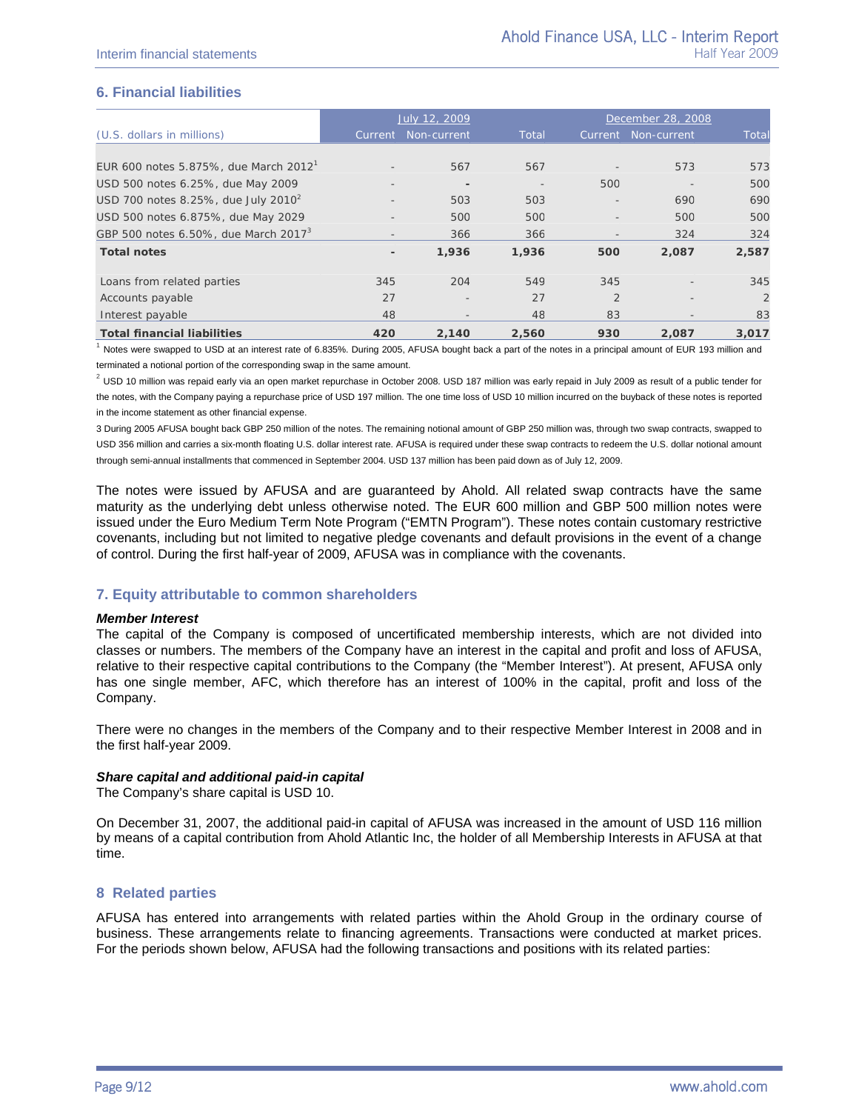## **6. Financial liabilities**

|                                                   |                          | July 12, 2009            |                          |                          | December 28, 2008        |                |
|---------------------------------------------------|--------------------------|--------------------------|--------------------------|--------------------------|--------------------------|----------------|
| (U.S. dollars in millions)                        | Current                  | Non-current              | Total                    |                          | Current Non-current      | Total          |
|                                                   |                          |                          |                          |                          |                          |                |
| EUR 600 notes 5.875%, due March 2012 <sup>1</sup> |                          | 567                      | 567                      |                          | 573                      | 573            |
| USD 500 notes 6.25%, due May 2009                 |                          |                          | $\overline{\phantom{a}}$ | 500                      |                          | 500            |
| USD 700 notes 8.25%, due July 2010 $^2$           | $\overline{\phantom{a}}$ | 503                      | 503                      | $\overline{\phantom{a}}$ | 690                      | 690            |
| USD 500 notes 6.875%, due May 2029                |                          | 50C                      | <i>500</i>               |                          | 500                      | 500            |
| GBP 500 notes 6.50%, due March 2017 <sup>3</sup>  | $\overline{\phantom{a}}$ | 366                      | 366                      | $\overline{\phantom{a}}$ | 324                      | 324            |
| <b>Total notes</b>                                | $\overline{\phantom{a}}$ | 1,936                    | 1,936                    | 500                      | 2,087                    | 2,587          |
| Loans from related parties                        | 345                      | 204                      | 549                      | 345                      | $\overline{\phantom{a}}$ | 345            |
| Accounts payable                                  | 27                       | $\overline{\phantom{a}}$ | 27                       | $\overline{2}$           |                          | $\overline{2}$ |
| Interest payable                                  | 48                       | $\overline{\phantom{a}}$ | 48                       | 83                       | $\overline{\phantom{a}}$ | 83             |
| <b>Total financial liabilities</b>                | 420                      | 2,140                    | 2,560                    | 930                      | 2,087                    | 3,017          |

 $1$  Notes were swapped to USD at an interest rate of 6.835%. During 2005, AFUSA bought back a part of the notes in a principal amount of EUR 193 million and terminated a notional portion of the corresponding swap in the same amount.

 $^2$  USD 10 million was repaid early via an open market repurchase in October 2008. USD 187 million was early repaid in July 2009 as result of a public tender for the notes, with the Company paying a repurchase price of USD 197 million. The one time loss of USD 10 million incurred on the buyback of these notes is reported in the income statement as other financial expense.

3 During 2005 AFUSA bought back GBP 250 million of the notes. The remaining notional amount of GBP 250 million was, through two swap contracts, swapped to USD 356 million and carries a six-month floating U.S. dollar interest rate. AFUSA is required under these swap contracts to redeem the U.S. dollar notional amount through semi-annual installments that commenced in September 2004. USD 137 million has been paid down as of July 12, 2009.

The notes were issued by AFUSA and are guaranteed by Ahold. All related swap contracts have the same maturity as the underlying debt unless otherwise noted. The EUR 600 million and GBP 500 million notes were issued under the Euro Medium Term Note Program ("EMTN Program"). These notes contain customary restrictive covenants, including but not limited to negative pledge covenants and default provisions in the event of a change of control. During the first half-year of 2009, AFUSA was in compliance with the covenants.

## **7. Equity attributable to common shareholders**

#### *Member Interest*

The capital of the Company is composed of uncertificated membership interests, which are not divided into classes or numbers. The members of the Company have an interest in the capital and profit and loss of AFUSA, relative to their respective capital contributions to the Company (the "Member Interest"). At present, AFUSA only has one single member, AFC, which therefore has an interest of 100% in the capital, profit and loss of the Company.

There were no changes in the members of the Company and to their respective Member Interest in 2008 and in the first half-year 2009.

#### *Share capital and additional paid-in capital*

The Company's share capital is USD 10.

On December 31, 2007, the additional paid-in capital of AFUSA was increased in the amount of USD 116 million by means of a capital contribution from Ahold Atlantic Inc, the holder of all Membership Interests in AFUSA at that time.

#### **8 Related parties**

AFUSA has entered into arrangements with related parties within the Ahold Group in the ordinary course of business. These arrangements relate to financing agreements. Transactions were conducted at market prices. For the periods shown below, AFUSA had the following transactions and positions with its related parties: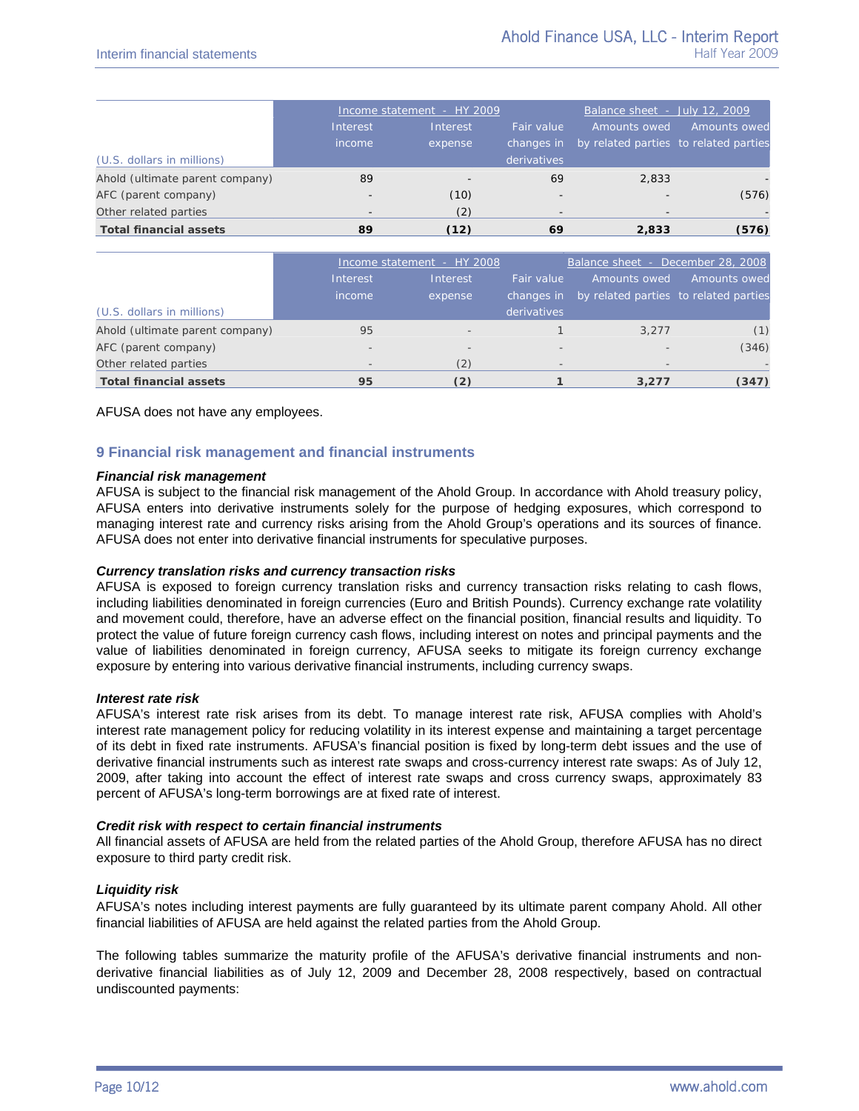|                                 |                          | Income statement - HY 2009 | Balance sheet - July 12, 2009 |                                                  |              |
|---------------------------------|--------------------------|----------------------------|-------------------------------|--------------------------------------------------|--------------|
|                                 | Interest                 | Interest                   | Fair value                    | Amounts owed                                     | Amounts owed |
|                                 | income                   | expense                    |                               | changes in by related parties to related parties |              |
| (U.S. dollars in millions)      |                          |                            | derivatives                   |                                                  |              |
| Ahold (ultimate parent company) | 89                       |                            | 69                            | 2,833                                            |              |
| AFC (parent company)            | $\overline{\phantom{a}}$ | (10)                       | $\overline{\phantom{a}}$      | ۰                                                | (576)        |
| Other related parties           | $\overline{\phantom{0}}$ | (2)                        |                               | $\qquad \qquad \blacksquare$                     |              |
| <b>Total financial assets</b>   | 89                       | (12)                       | 69                            | 2,833                                            | (576)        |

|                                 | Income statement - HY 2008 |                          |                          | Balance sheet - December 28, 2008     |              |  |  |
|---------------------------------|----------------------------|--------------------------|--------------------------|---------------------------------------|--------------|--|--|
|                                 | Interest                   | Interest                 | Fair value               | Amounts owed                          | Amounts owed |  |  |
|                                 | income                     | expense                  | changes in               | by related parties to related parties |              |  |  |
| (U.S. dollars in millions)      |                            |                          | derivatives              |                                       |              |  |  |
| Ahold (ultimate parent company) | 95                         | $\overline{\phantom{a}}$ |                          | 3.277                                 | (1)          |  |  |
| AFC (parent company)            | $\overline{\phantom{a}}$   | $\overline{\phantom{a}}$ | $\overline{\phantom{a}}$ |                                       | (346)        |  |  |
| Other related parties           | $\overline{\phantom{a}}$   | (2)                      |                          | $\sim$                                |              |  |  |
| <b>Total financial assets</b>   | 95                         | (2)                      |                          | 3,277                                 | (347)        |  |  |

AFUSA does not have any employees.

## **9 Financial risk management and financial instruments**

#### *Financial risk management*

AFUSA is subject to the financial risk management of the Ahold Group. In accordance with Ahold treasury policy, AFUSA enters into derivative instruments solely for the purpose of hedging exposures, which correspond to managing interest rate and currency risks arising from the Ahold Group's operations and its sources of finance. AFUSA does not enter into derivative financial instruments for speculative purposes.

### *Currency translation risks and currency transaction risks*

AFUSA is exposed to foreign currency translation risks and currency transaction risks relating to cash flows, including liabilities denominated in foreign currencies (Euro and British Pounds). Currency exchange rate volatility and movement could, therefore, have an adverse effect on the financial position, financial results and liquidity. To protect the value of future foreign currency cash flows, including interest on notes and principal payments and the value of liabilities denominated in foreign currency, AFUSA seeks to mitigate its foreign currency exchange exposure by entering into various derivative financial instruments, including currency swaps.

#### *Interest rate risk*

AFUSA's interest rate risk arises from its debt. To manage interest rate risk, AFUSA complies with Ahold's interest rate management policy for reducing volatility in its interest expense and maintaining a target percentage of its debt in fixed rate instruments. AFUSA's financial position is fixed by long-term debt issues and the use of derivative financial instruments such as interest rate swaps and cross-currency interest rate swaps: As of July 12, 2009, after taking into account the effect of interest rate swaps and cross currency swaps, approximately 83 percent of AFUSA's long-term borrowings are at fixed rate of interest.

#### *Credit risk with respect to certain financial instruments*

All financial assets of AFUSA are held from the related parties of the Ahold Group, therefore AFUSA has no direct exposure to third party credit risk.

#### *Liquidity risk*

AFUSA's notes including interest payments are fully guaranteed by its ultimate parent company Ahold. All other financial liabilities of AFUSA are held against the related parties from the Ahold Group.

The following tables summarize the maturity profile of the AFUSA's derivative financial instruments and nonderivative financial liabilities as of July 12, 2009 and December 28, 2008 respectively, based on contractual undiscounted payments: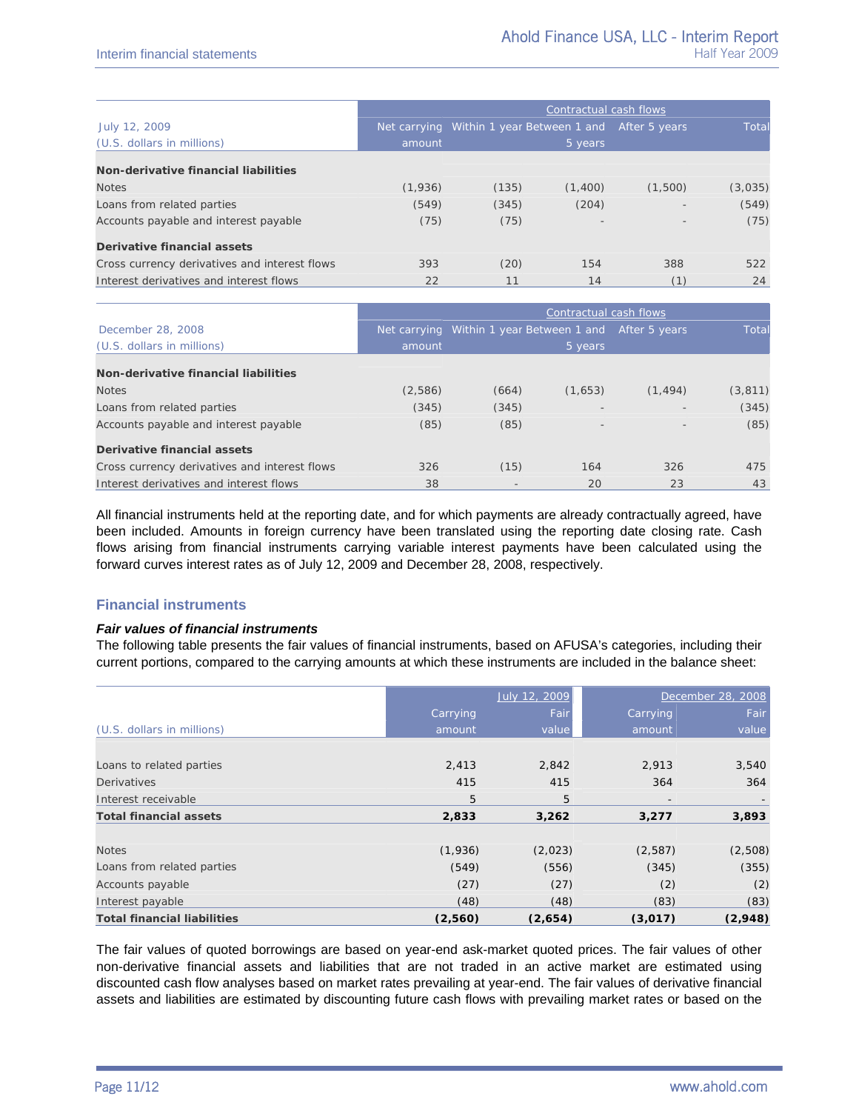|                                               | Contractual cash flows |                                                        |         |         |         |
|-----------------------------------------------|------------------------|--------------------------------------------------------|---------|---------|---------|
| July 12, 2009                                 |                        | Net carrying Within 1 year Between 1 and After 5 years |         |         | Total   |
| (U.S. dollars in millions)                    | amount                 | 5 years                                                |         |         |         |
| Non-derivative financial liabilities          |                        |                                                        |         |         |         |
| <b>Notes</b>                                  | (1,936)                | (135)                                                  | (1,400) | (1,500) | (3,035) |
| Loans from related parties                    | (549)                  | (345)                                                  | (204)   | $\sim$  | (549)   |
| Accounts payable and interest payable         | (75)                   | (75)                                                   |         |         | (75)    |
| Derivative financial assets                   |                        |                                                        |         |         |         |
| Cross currency derivatives and interest flows | 393                    | (20)                                                   | 154     | 388     | 522     |
| Interest derivatives and interest flows       | 22                     | 11                                                     | 14      |         | 24      |

|                                               | Contractual cash flows |                                                        |         |          |          |
|-----------------------------------------------|------------------------|--------------------------------------------------------|---------|----------|----------|
| December 28, 2008                             |                        | Net carrying Within 1 year Between 1 and After 5 years |         |          | Total    |
| (U.S. dollars in millions)                    | amount                 |                                                        | 5 years |          |          |
| Non-derivative financial liabilities          |                        |                                                        |         |          |          |
| <b>Notes</b>                                  | (2,586)                | (664)                                                  | (1,653) | (1, 494) | (3, 811) |
| Loans from related parties                    | (345)                  | (345)                                                  |         |          | (345)    |
| Accounts payable and interest payable         | (85)                   | (85)                                                   |         |          | (85)     |
| Derivative financial assets                   |                        |                                                        |         |          |          |
| Cross currency derivatives and interest flows | 326                    | (15)                                                   | 164     | 326      | 475      |
| Interest derivatives and interest flows       | 38                     | $\qquad \qquad$                                        | 20      | 23       | 43       |

All financial instruments held at the reporting date, and for which payments are already contractually agreed, have been included. Amounts in foreign currency have been translated using the reporting date closing rate. Cash flows arising from financial instruments carrying variable interest payments have been calculated using the forward curves interest rates as of July 12, 2009 and December 28, 2008, respectively.

## **Financial instruments**

#### *Fair values of financial instruments*

The following table presents the fair values of financial instruments, based on AFUSA's categories, including their current portions, compared to the carrying amounts at which these instruments are included in the balance sheet:

|                                    |          | July 12, 2009 |                          | December 28, 2008 |
|------------------------------------|----------|---------------|--------------------------|-------------------|
|                                    | Carrying | Fair          | Carrying                 | Fair              |
| (U.S. dollars in millions)         | amount   | value         | amount                   | value             |
|                                    |          |               |                          |                   |
| Loans to related parties           | 2,413    | 2,842         | 2,913                    | 3,540             |
| <b>Derivatives</b>                 | 415      | 415           | 364                      | 364               |
| Interest receivable                | 5        | 5             | $\overline{\phantom{a}}$ |                   |
| <b>Total financial assets</b>      | 2,833    | 3,262         | 3,277                    | 3,893             |
| <b>Notes</b>                       | (1,936)  | (2,023)       | (2,587)                  | (2,508)           |
| Loans from related parties         | (549)    | (556)         | (345)                    | (355)             |
| Accounts payable                   | (27)     | (27)          | (2)                      | (2)               |
| Interest payable                   | (48)     | (48)          | (83)                     | (83)              |
| <b>Total financial liabilities</b> | (2,560)  | (2,654)       | (3,017)                  | (2,948)           |

The fair values of quoted borrowings are based on year-end ask-market quoted prices. The fair values of other non-derivative financial assets and liabilities that are not traded in an active market are estimated using discounted cash flow analyses based on market rates prevailing at year-end. The fair values of derivative financial assets and liabilities are estimated by discounting future cash flows with prevailing market rates or based on the